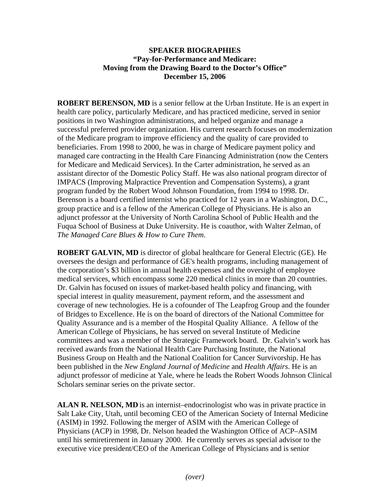## **SPEAKER BIOGRAPHIES "Pay-for-Performance and Medicare: Moving from the Drawing Board to the Doctor's Office" December 15, 2006**

**ROBERT BERENSON, MD** is a senior fellow at the Urban Institute. He is an expert in health care policy, particularly Medicare, and has practiced medicine, served in senior positions in two Washington administrations, and helped organize and manage a successful preferred provider organization. His current research focuses on modernization of the Medicare program to improve efficiency and the quality of care provided to beneficiaries. From 1998 to 2000, he was in charge of Medicare payment policy and managed care contracting in the Health Care Financing Administration (now the Centers for Medicare and Medicaid Services). In the Carter administration, he served as an assistant director of the Domestic Policy Staff. He was also national program director of IMPACS (Improving Malpractice Prevention and Compensation Systems), a grant program funded by the Robert Wood Johnson Foundation, from 1994 to 1998. Dr. Berenson is a board certified internist who practiced for 12 years in a Washington, D.C., group practice and is a fellow of the American College of Physicians. He is also an adjunct professor at the University of North Carolina School of Public Health and the Fuqua School of Business at Duke University. He is coauthor, with Walter Zelman, of *The Managed Care Blues & How to Cure Them*.

**ROBERT GALVIN, MD** is director of global healthcare for General Electric (GE). He oversees the design and performance of GE's health programs, including management of the corporation's \$3 billion in annual health expenses and the oversight of employee medical services, which encompass some 220 medical clinics in more than 20 countries. Dr. Galvin has focused on issues of market-based health policy and financing, with special interest in quality measurement, payment reform, and the assessment and coverage of new technologies. He is a cofounder of The Leapfrog Group and the founder of Bridges to Excellence. He is on the board of directors of the National Committee for Quality Assurance and is a member of the Hospital Quality Alliance. A fellow of the American College of Physicians, he has served on several Institute of Medicine committees and was a member of the Strategic Framework board. Dr. Galvin's work has received awards from the National Health Care Purchasing Institute, the National Business Group on Health and the National Coalition for Cancer Survivorship. He has been published in the *New England Journal of Medicine* and *Health Affairs*. He is an adjunct professor of medicine at Yale, where he leads the Robert Woods Johnson Clinical Scholars seminar series on the private sector.

**ALAN R. NELSON, MD** is an internist–endocrinologist who was in private practice in Salt Lake City, Utah, until becoming CEO of the American Society of Internal Medicine (ASIM) in 1992. Following the merger of ASIM with the American College of Physicians (ACP) in 1998, Dr. Nelson headed the Washington Office of ACP–ASIM until his semiretirement in January 2000. He currently serves as special advisor to the executive vice president/CEO of the American College of Physicians and is senior